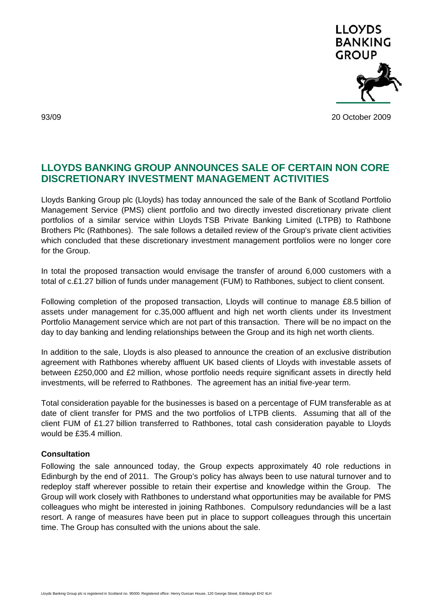

93/09 20 October 2009

## **LLOYDS BANKING GROUP ANNOUNCES SALE OF CERTAIN NON CORE DISCRETIONARY INVESTMENT MANAGEMENT ACTIVITIES**

Lloyds Banking Group plc (Lloyds) has today announced the sale of the Bank of Scotland Portfolio Management Service (PMS) client portfolio and two directly invested discretionary private client portfolios of a similar service within Lloyds TSB Private Banking Limited (LTPB) to Rathbone Brothers Plc (Rathbones). The sale follows a detailed review of the Group's private client activities which concluded that these discretionary investment management portfolios were no longer core for the Group.

In total the proposed transaction would envisage the transfer of around 6,000 customers with a total of c.£1.27 billion of funds under management (FUM) to Rathbones, subject to client consent.

Following completion of the proposed transaction, Lloyds will continue to manage £8.5 billion of assets under management for c.35,000 affluent and high net worth clients under its Investment Portfolio Management service which are not part of this transaction. There will be no impact on the day to day banking and lending relationships between the Group and its high net worth clients.

In addition to the sale, Lloyds is also pleased to announce the creation of an exclusive distribution agreement with Rathbones whereby affluent UK based clients of Lloyds with investable assets of between £250,000 and £2 million, whose portfolio needs require significant assets in directly held investments, will be referred to Rathbones. The agreement has an initial five-year term.

Total consideration payable for the businesses is based on a percentage of FUM transferable as at date of client transfer for PMS and the two portfolios of LTPB clients. Assuming that all of the client FUM of £1.27 billion transferred to Rathbones, total cash consideration payable to Lloyds would be £35.4 million.

## **Consultation**

Following the sale announced today, the Group expects approximately 40 role reductions in Edinburgh by the end of 2011. The Group's policy has always been to use natural turnover and to redeploy staff wherever possible to retain their expertise and knowledge within the Group. The Group will work closely with Rathbones to understand what opportunities may be available for PMS colleagues who might be interested in joining Rathbones. Compulsory redundancies will be a last resort. A range of measures have been put in place to support colleagues through this uncertain time. The Group has consulted with the unions about the sale.